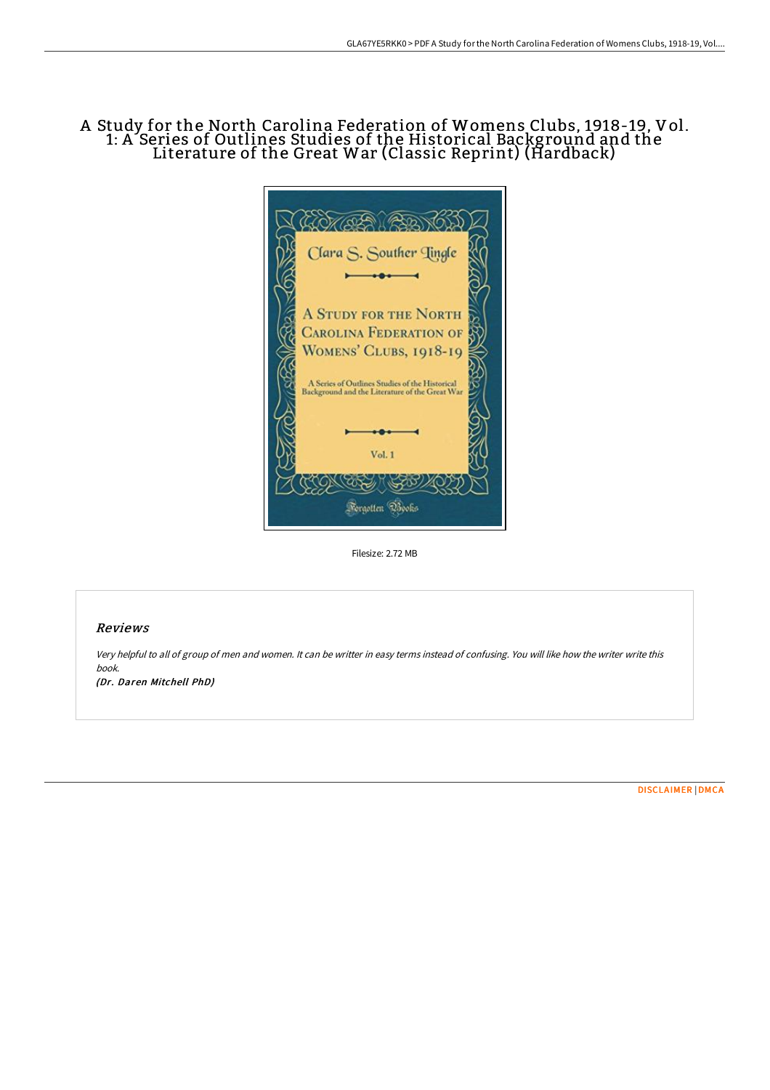# A Study for the North Carolina Federation of Womens Clubs, 1918-19, Vol. 1: A Series of Outlines Studies of the Historical Background and the Literature of the Great War (Classic Reprint) (Hardback)



Filesize: 2.72 MB

### Reviews

Very helpful to all of group of men and women. It can be writter in easy terms instead of confusing. You will like how the writer write this book.

(Dr. Daren Mitchell PhD)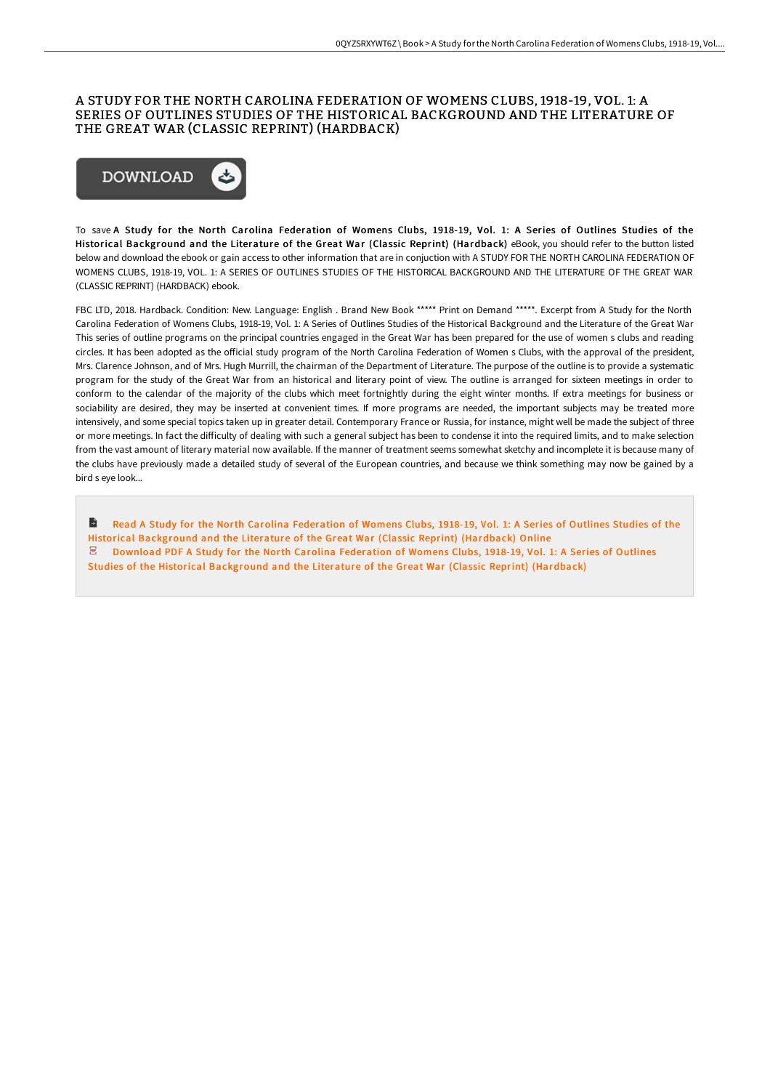#### A STUDY FOR THE NORTH CAROLINA FEDERATION OF WOMENS CLUBS, 1918-19, VOL. 1: A SERIES OF OUTLINES STUDIES OF THE HISTORICAL BACKGROUND AND THE LITERATURE OF THE GREAT WAR (CLASSIC REPRINT) (HARDBACK)



To save A Study for the North Carolina Federation of Womens Clubs, 1918-19, Vol. 1: A Series of Outlines Studies of the Historical Background and the Literature of the Great War (Classic Reprint) (Hardback) eBook, you should refer to the button listed below and download the ebook or gain access to other information that are in conjuction with A STUDY FOR THE NORTH CAROLINA FEDERATION OF WOMENS CLUBS, 1918-19, VOL. 1: A SERIES OF OUTLINES STUDIES OF THE HISTORICAL BACKGROUND AND THE LITERATURE OF THE GREAT WAR (CLASSIC REPRINT) (HARDBACK) ebook.

FBC LTD, 2018. Hardback. Condition: New. Language: English . Brand New Book \*\*\*\*\* Print on Demand \*\*\*\*\*. Excerpt from A Study for the North Carolina Federation of Womens Clubs, 1918-19, Vol. 1: A Series of Outlines Studies of the Historical Background and the Literature of the Great War This series of outline programs on the principal countries engaged in the Great War has been prepared for the use of women s clubs and reading circles. It has been adopted as the oFicial study program of the North Carolina Federation of Women s Clubs, with the approval of the president, Mrs. Clarence Johnson, and of Mrs. Hugh Murrill, the chairman of the Department of Literature. The purpose of the outline is to provide a systematic program for the study of the Great War from an historical and literary point of view. The outline is arranged for sixteen meetings in order to conform to the calendar of the majority of the clubs which meet fortnightly during the eight winter months. If extra meetings for business or sociability are desired, they may be inserted at convenient times. If more programs are needed, the important subjects may be treated more intensively, and some special topics taken up in greater detail. Contemporary France or Russia, for instance, might well be made the subject of three or more meetings. In fact the diFiculty of dealing with such a general subject has been to condense it into the required limits, and to make selection from the vast amount of literary material now available. If the manner of treatment seems somewhat sketchy and incomplete it is because many of the clubs have previously made a detailed study of several of the European countries, and because we think something may now be gained by a bird s eye look...

Read A Study for the North Carolina Federation of Womens Clubs, 1918-19, Vol. 1: A Series of Outlines Studies of the Ы Historical [Background](http://techno-pub.tech/a-study-for-the-north-carolina-federation-of-wom-1.html) and the Literature of the Great War (Classic Reprint) (Hardback) Online Download PDF A Study for the North Carolina Federation of Womens Clubs, 1918-19, Vol. 1: A Series of Outlines Studies of the Historical [Background](http://techno-pub.tech/a-study-for-the-north-carolina-federation-of-wom-1.html) and the Literature of the Great War (Classic Reprint) (Hardback)